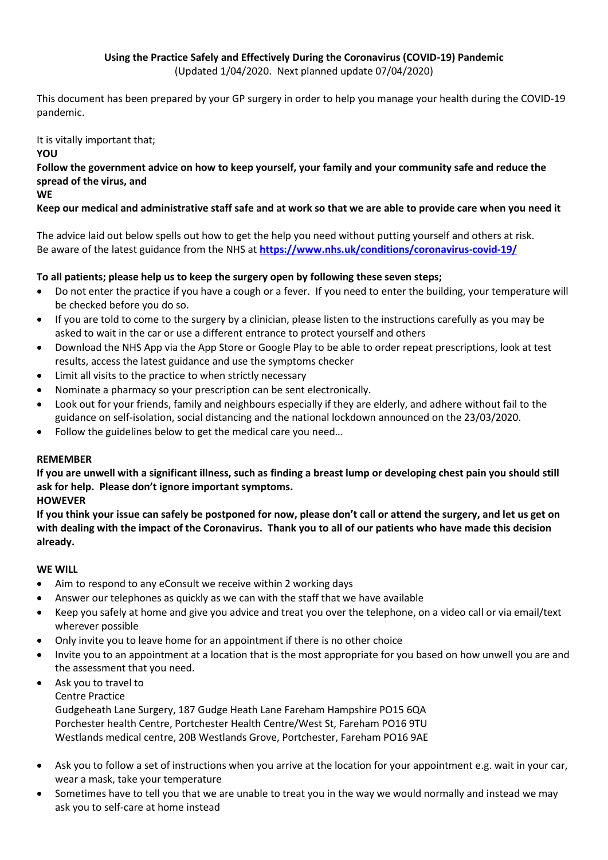#### **Using the Practice Safely and Effectively During the Coronavirus (COVID-19) Pandemic** (Updated 1/04/2020. Next planned update 07/04/2020)

This document has been prepared by your GP surgery in order to help you manage your health during the COVID-19 pandemic.

#### It is vitally important that;

**YOU**

**Follow the government advice on how to keep yourself, your family and your community safe and reduce the spread of the virus, and**

#### **WE**

## **Keep our medical and administrative staff safe and at work so that we are able to provide care when you need it**

The advice laid out below spells out how to get the help you need without putting yourself and others at risk. Be aware of the latest guidance from the NHS at **<https://www.nhs.uk/conditions/coronavirus-covid-19/>**

## **To all patients; please help us to keep the surgery open by following these seven steps;**

- Do not enter the practice if you have a cough or a fever. If you need to enter the building, your temperature will be checked before you do so.
- If you are told to come to the surgery by a clinician, please listen to the instructions carefully as you may be asked to wait in the car or use a different entrance to protect yourself and others
- Download the NHS App via the App Store or Google Play to be able to order repeat prescriptions, look at test results, access the latest guidance and use the symptoms checker
- Limit all visits to the practice to when strictly necessary
- Nominate a pharmacy so your prescription can be sent electronically.
- Look out for your friends, family and neighbours especially if they are elderly, and adhere without fail to the guidance on self-isolation, social distancing and the national lockdown announced on the 23/03/2020.
- Follow the guidelines below to get the medical care you need...

## **REMEMBER**

**If you are unwell with a significant illness, such as finding a breast lump or developing chest pain you should still ask for help. Please don't ignore important symptoms.**

## **HOWEVER**

**If you think your issue can safely be postponed for now, please don't call or attend the surgery, and let us get on with dealing with the impact of the Coronavirus. Thank you to all of our patients who have made this decision already.**

## **WE WILL**

- Aim to respond to any eConsult we receive within 2 working days
- Answer our telephones as quickly as we can with the staff that we have available
- Keep you safely at home and give you advice and treat you over the telephone, on a video call or via email/text wherever possible
- Only invite you to leave home for an appointment if there is no other choice
- Invite you to an appointment at a location that is the most appropriate for you based on how unwell you are and the assessment that you need.
- Ask you to travel to
	- Centre Practice

Gudgeheath Lane Surgery, 187 Gudge Heath Lane Fareham Hampshire PO15 6QA Porchester health Centre, Portchester Health Centre/West St, Fareham PO16 9TU Westlands medical centre, 20B Westlands Grove, Portchester, Fareham PO16 9AE

- Ask you to follow a set of instructions when you arrive at the location for your appointment e.g. wait in your car, wear a mask, take your temperature
- Sometimes have to tell you that we are unable to treat you in the way we would normally and instead we may ask you to self-care at home instead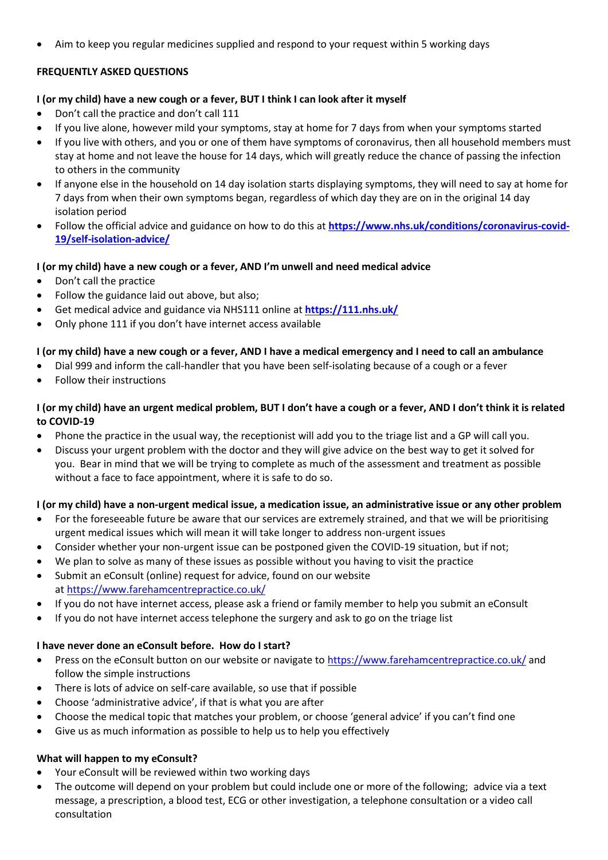• Aim to keep you regular medicines supplied and respond to your request within 5 working days

## **FREQUENTLY ASKED QUESTIONS**

#### **I (or my child) have a new cough or a fever, BUT I think I can look after it myself**

- Don't call the practice and don't call 111
- If you live alone, however mild your symptoms, stay at home for 7 days from when your symptoms started
- If you live with others, and you or one of them have symptoms of coronavirus, then all household members must stay at home and not leave the house for 14 days, which will greatly reduce the chance of passing the infection to others in the community
- If anyone else in the household on 14 day isolation starts displaying symptoms, they will need to say at home for 7 days from when their own symptoms began, regardless of which day they are on in the original 14 day isolation period
- Follow the official advice and guidance on how to do this at **[https://www.nhs.uk/conditions/coronavirus-covid-](https://www.nhs.uk/conditions/coronavirus-covid-19/self-isolation-advice/)[19/self-isolation-advice/](https://www.nhs.uk/conditions/coronavirus-covid-19/self-isolation-advice/)**

#### **I (or my child) have a new cough or a fever, AND I'm unwell and need medical advice**

- Don't call the practice
- Follow the guidance laid out above, but also;
- Get medical advice and guidance via NHS111 online at **<https://111.nhs.uk/>**
- Only phone 111 if you don't have internet access available

#### **I (or my child) have a new cough or a fever, AND I have a medical emergency and I need to call an ambulance**

- Dial 999 and inform the call-handler that you have been self-isolating because of a cough or a fever
- Follow their instructions

#### **I (or my child) have an urgent medical problem, BUT I don't have a cough or a fever, AND I don't think it is related to COVID-19**

- Phone the practice in the usual way, the receptionist will add you to the triage list and a GP will call you.
- Discuss your urgent problem with the doctor and they will give advice on the best way to get it solved for you. Bear in mind that we will be trying to complete as much of the assessment and treatment as possible without a face to face appointment, where it is safe to do so.

#### **I (or my child) have a non-urgent medical issue, a medication issue, an administrative issue or any other problem**

- For the foreseeable future be aware that our services are extremely strained, and that we will be prioritising urgent medical issues which will mean it will take longer to address non-urgent issues
- Consider whether your non-urgent issue can be postponed given the COVID-19 situation, but if not;
- We plan to solve as many of these issues as possible without you having to visit the practice
- Submit an eConsult (online) request for advice, found on our website at <https://www.farehamcentrepractice.co.uk/>
- If you do not have internet access, please ask a friend or family member to help you submit an eConsult
- If you do not have internet access telephone the surgery and ask to go on the triage list

## **I have never done an eConsult before. How do I start?**

- Press on the eConsult button on our website or navigate to <https://www.farehamcentrepractice.co.uk/> and follow the simple instructions
- There is lots of advice on self-care available, so use that if possible
- Choose 'administrative advice', if that is what you are after
- Choose the medical topic that matches your problem, or choose 'general advice' if you can't find one
- Give us as much information as possible to help us to help you effectively

#### **What will happen to my eConsult?**

- Your eConsult will be reviewed within two working days
- The outcome will depend on your problem but could include one or more of the following; advice via a text message, a prescription, a blood test, ECG or other investigation, a telephone consultation or a video call consultation